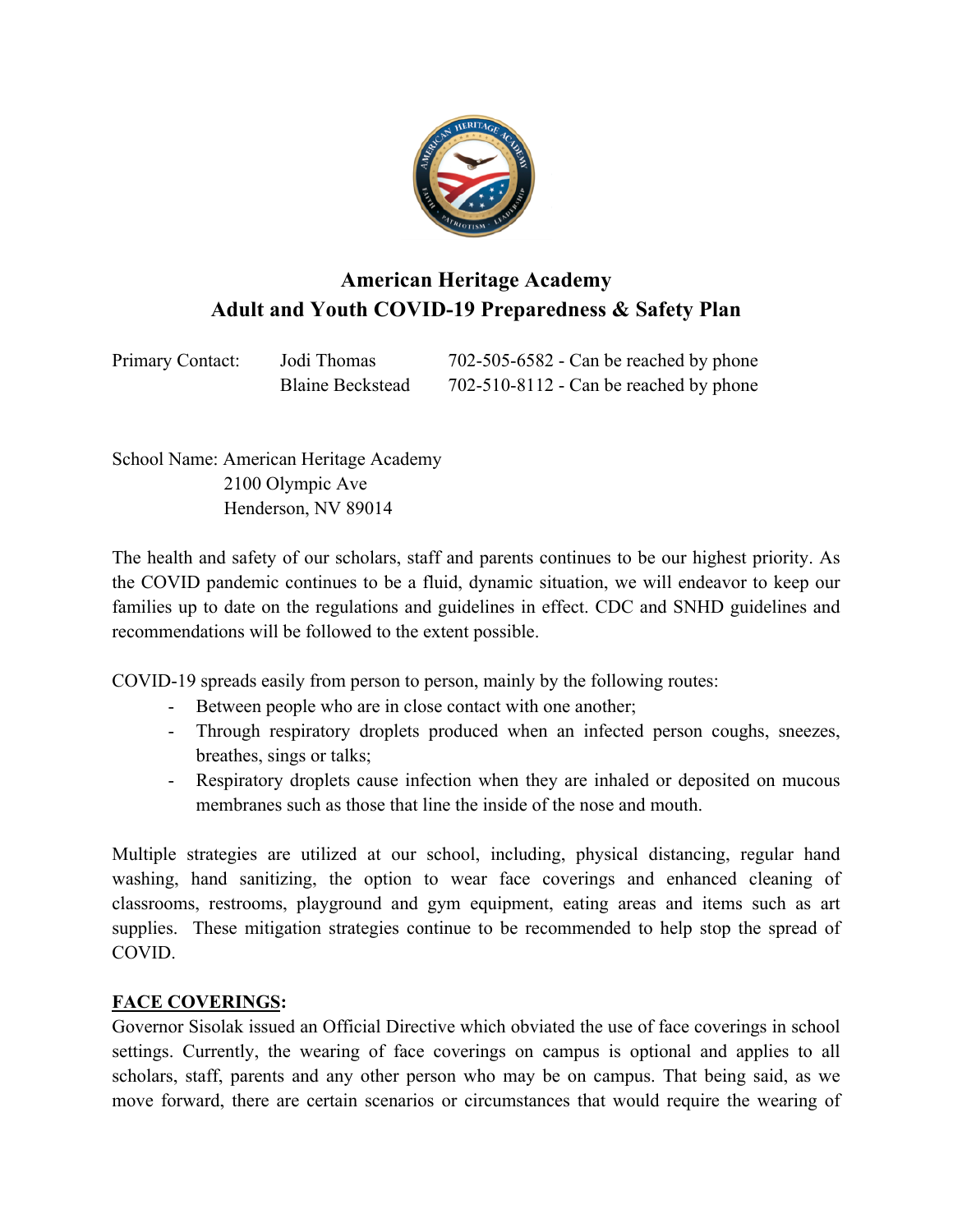

# **American Heritage Academy Adult and Youth COVID-19 Preparedness & Safety Plan**

| Primary Contact: | Jodi Thomas             | $702 - 505 - 6582$ - Can be reached by phone |
|------------------|-------------------------|----------------------------------------------|
|                  | <b>Blaine Beckstead</b> | $702-510-8112$ - Can be reached by phone     |

School Name: American Heritage Academy 2100 Olympic Ave Henderson, NV 89014

The health and safety of our scholars, staff and parents continues to be our highest priority. As the COVID pandemic continues to be a fluid, dynamic situation, we will endeavor to keep our families up to date on the regulations and guidelines in effect. CDC and SNHD guidelines and recommendations will be followed to the extent possible.

COVID-19 spreads easily from person to person, mainly by the following routes:

- Between people who are in close contact with one another;
- Through respiratory droplets produced when an infected person coughs, sneezes, breathes, sings or talks;
- Respiratory droplets cause infection when they are inhaled or deposited on mucous membranes such as those that line the inside of the nose and mouth.

Multiple strategies are utilized at our school, including, physical distancing, regular hand washing, hand sanitizing, the option to wear face coverings and enhanced cleaning of classrooms, restrooms, playground and gym equipment, eating areas and items such as art supplies. These mitigation strategies continue to be recommended to help stop the spread of COVID.

#### **FACE COVERINGS:**

Governor Sisolak issued an Official Directive which obviated the use of face coverings in school settings. Currently, the wearing of face coverings on campus is optional and applies to all scholars, staff, parents and any other person who may be on campus. That being said, as we move forward, there are certain scenarios or circumstances that would require the wearing of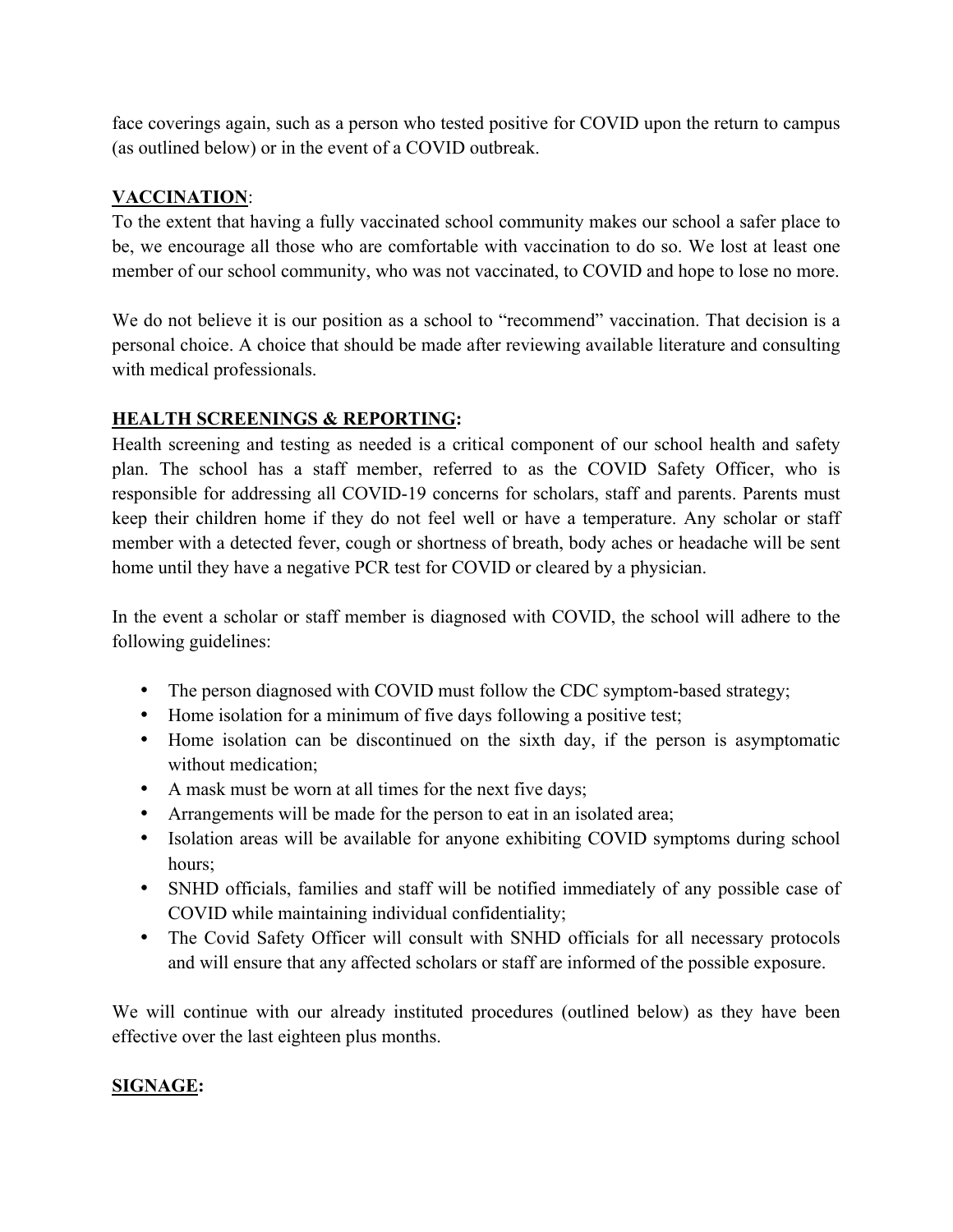face coverings again, such as a person who tested positive for COVID upon the return to campus (as outlined below) or in the event of a COVID outbreak.

### **VACCINATION**:

To the extent that having a fully vaccinated school community makes our school a safer place to be, we encourage all those who are comfortable with vaccination to do so. We lost at least one member of our school community, who was not vaccinated, to COVID and hope to lose no more.

We do not believe it is our position as a school to "recommend" vaccination. That decision is a personal choice. A choice that should be made after reviewing available literature and consulting with medical professionals.

#### **HEALTH SCREENINGS & REPORTING:**

Health screening and testing as needed is a critical component of our school health and safety plan. The school has a staff member, referred to as the COVID Safety Officer, who is responsible for addressing all COVID-19 concerns for scholars, staff and parents. Parents must keep their children home if they do not feel well or have a temperature. Any scholar or staff member with a detected fever, cough or shortness of breath, body aches or headache will be sent home until they have a negative PCR test for COVID or cleared by a physician.

In the event a scholar or staff member is diagnosed with COVID, the school will adhere to the following guidelines:

- The person diagnosed with COVID must follow the CDC symptom-based strategy;
- Home isolation for a minimum of five days following a positive test;
- Home isolation can be discontinued on the sixth day, if the person is asymptomatic without medication;
- A mask must be worn at all times for the next five days;
- Arrangements will be made for the person to eat in an isolated area;
- Isolation areas will be available for anyone exhibiting COVID symptoms during school hours;
- SNHD officials, families and staff will be notified immediately of any possible case of COVID while maintaining individual confidentiality;
- The Covid Safety Officer will consult with SNHD officials for all necessary protocols and will ensure that any affected scholars or staff are informed of the possible exposure.

We will continue with our already instituted procedures (outlined below) as they have been effective over the last eighteen plus months.

#### **SIGNAGE:**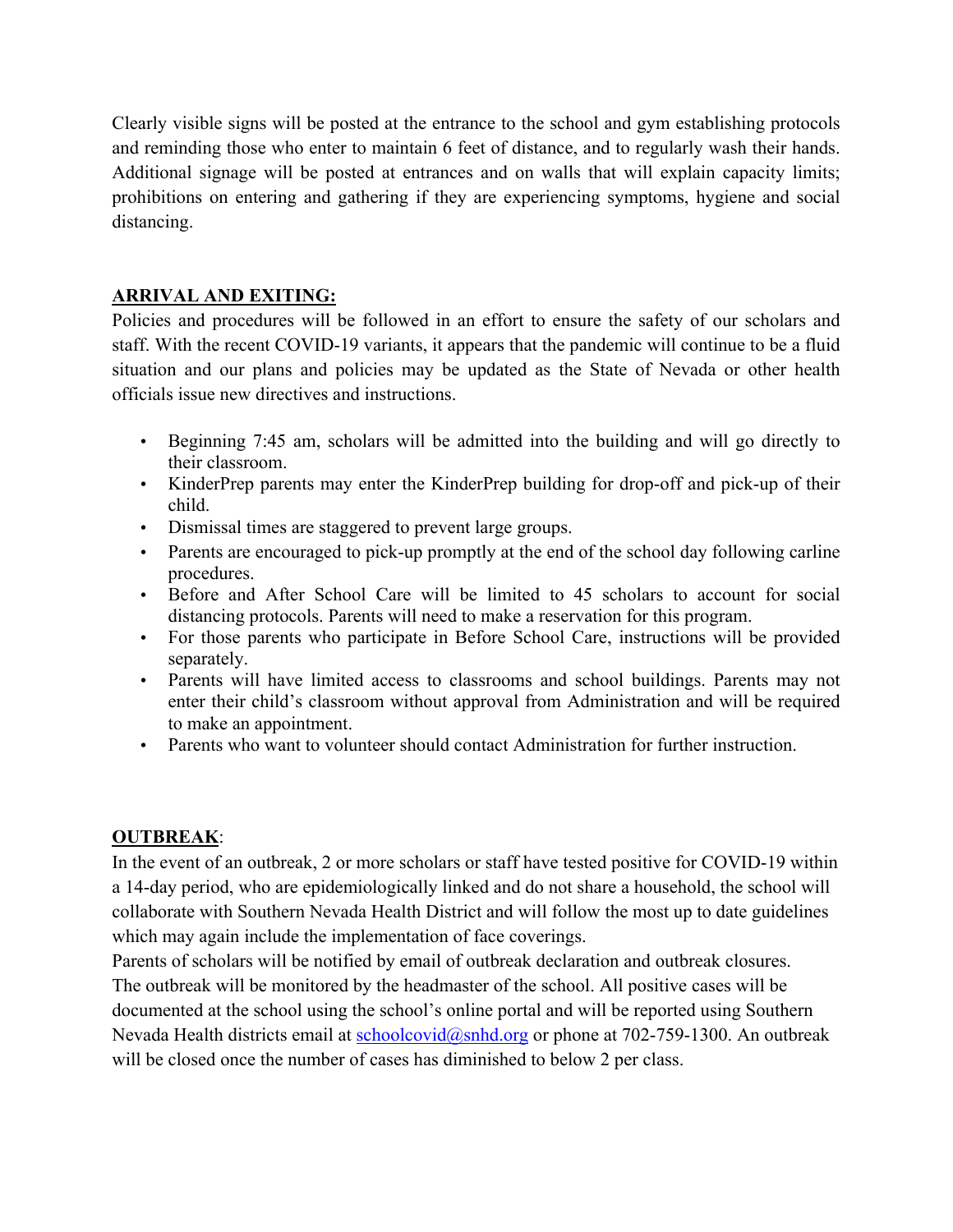Clearly visible signs will be posted at the entrance to the school and gym establishing protocols and reminding those who enter to maintain 6 feet of distance, and to regularly wash their hands. Additional signage will be posted at entrances and on walls that will explain capacity limits; prohibitions on entering and gathering if they are experiencing symptoms, hygiene and social distancing.

### **ARRIVAL AND EXITING:**

Policies and procedures will be followed in an effort to ensure the safety of our scholars and staff. With the recent COVID-19 variants, it appears that the pandemic will continue to be a fluid situation and our plans and policies may be updated as the State of Nevada or other health officials issue new directives and instructions.

- Beginning 7:45 am, scholars will be admitted into the building and will go directly to their classroom.
- KinderPrep parents may enter the KinderPrep building for drop-off and pick-up of their child.
- Dismissal times are staggered to prevent large groups.
- Parents are encouraged to pick-up promptly at the end of the school day following carline procedures.
- Before and After School Care will be limited to 45 scholars to account for social distancing protocols. Parents will need to make a reservation for this program.
- For those parents who participate in Before School Care, instructions will be provided separately.
- Parents will have limited access to classrooms and school buildings. Parents may not enter their child's classroom without approval from Administration and will be required to make an appointment.
- Parents who want to volunteer should contact Administration for further instruction.

#### **OUTBREAK**:

In the event of an outbreak, 2 or more scholars or staff have tested positive for COVID-19 within a 14-day period, who are epidemiologically linked and do not share a household, the school will collaborate with Southern Nevada Health District and will follow the most up to date guidelines which may again include the implementation of face coverings.

Parents of scholars will be notified by email of outbreak declaration and outbreak closures. The outbreak will be monitored by the headmaster of the school. All positive cases will be documented at the school using the school's online portal and will be reported using Southern Nevada Health districts email at schoolcovid@snhd.org or phone at 702-759-1300. An outbreak will be closed once the number of cases has diminished to below 2 per class.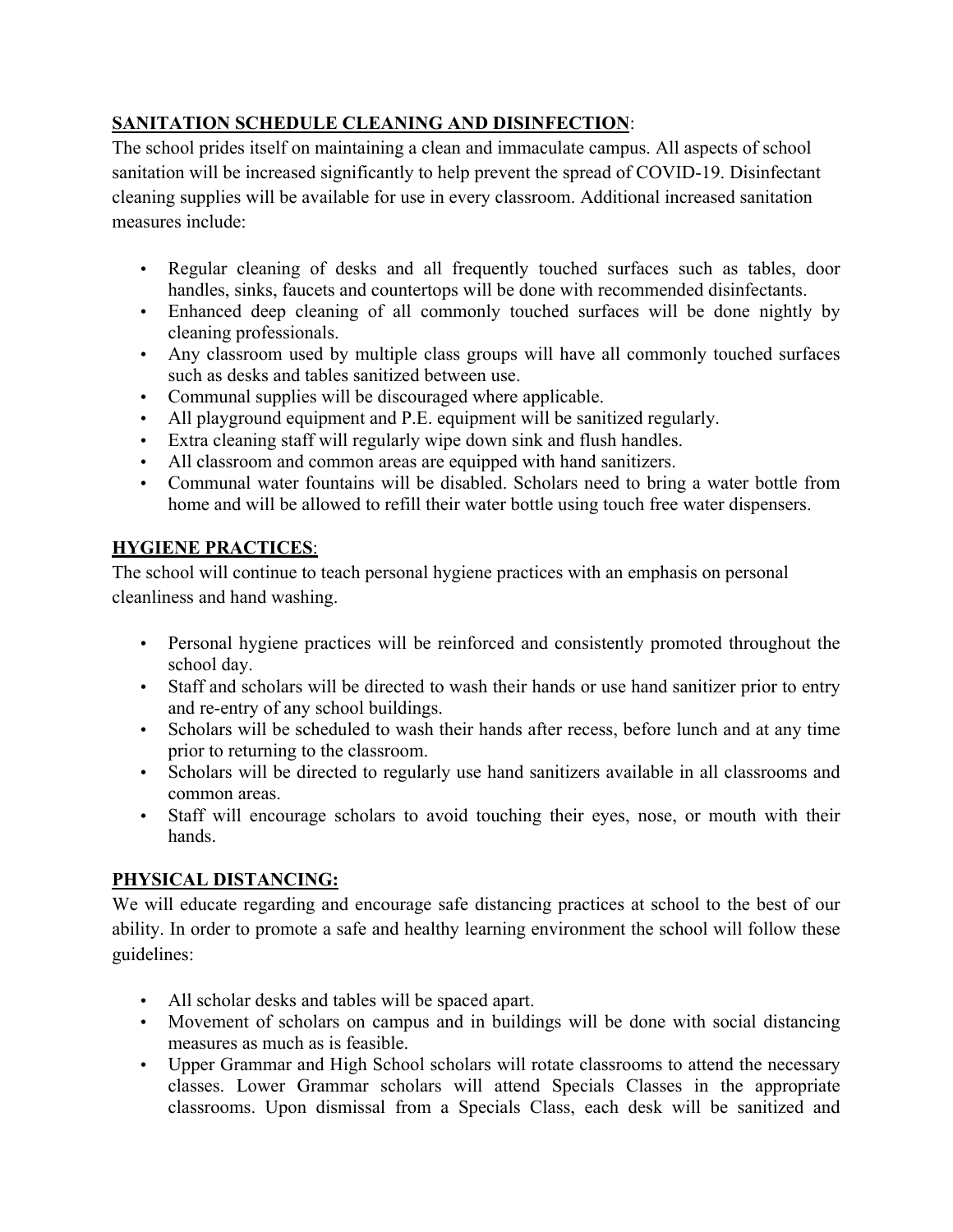# **SANITATION SCHEDULE CLEANING AND DISINFECTION**:

The school prides itself on maintaining a clean and immaculate campus. All aspects of school sanitation will be increased significantly to help prevent the spread of COVID-19. Disinfectant cleaning supplies will be available for use in every classroom. Additional increased sanitation measures include:

- Regular cleaning of desks and all frequently touched surfaces such as tables, door handles, sinks, faucets and countertops will be done with recommended disinfectants.
- Enhanced deep cleaning of all commonly touched surfaces will be done nightly by cleaning professionals.
- Any classroom used by multiple class groups will have all commonly touched surfaces such as desks and tables sanitized between use.
- Communal supplies will be discouraged where applicable.
- All playground equipment and P.E. equipment will be sanitized regularly.
- Extra cleaning staff will regularly wipe down sink and flush handles.
- All classroom and common areas are equipped with hand sanitizers.
- Communal water fountains will be disabled. Scholars need to bring a water bottle from home and will be allowed to refill their water bottle using touch free water dispensers.

## **HYGIENE PRACTICES**:

The school will continue to teach personal hygiene practices with an emphasis on personal cleanliness and hand washing.

- Personal hygiene practices will be reinforced and consistently promoted throughout the school day.
- Staff and scholars will be directed to wash their hands or use hand sanitizer prior to entry and re-entry of any school buildings.
- Scholars will be scheduled to wash their hands after recess, before lunch and at any time prior to returning to the classroom.
- Scholars will be directed to regularly use hand sanitizers available in all classrooms and common areas.
- Staff will encourage scholars to avoid touching their eyes, nose, or mouth with their hands.

## **PHYSICAL DISTANCING:**

We will educate regarding and encourage safe distancing practices at school to the best of our ability. In order to promote a safe and healthy learning environment the school will follow these guidelines:

- All scholar desks and tables will be spaced apart.
- Movement of scholars on campus and in buildings will be done with social distancing measures as much as is feasible.
- Upper Grammar and High School scholars will rotate classrooms to attend the necessary classes. Lower Grammar scholars will attend Specials Classes in the appropriate classrooms. Upon dismissal from a Specials Class, each desk will be sanitized and